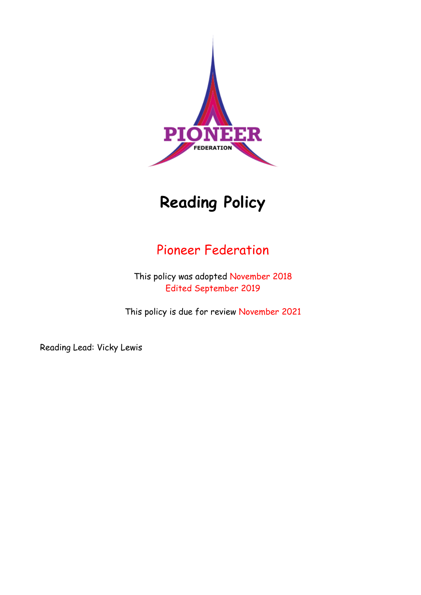

# **Reading Policy**

# Pioneer Federation

This policy was adopted November 2018 Edited September 2019

This policy is due for review November 2021

Reading Lead: Vicky Lewis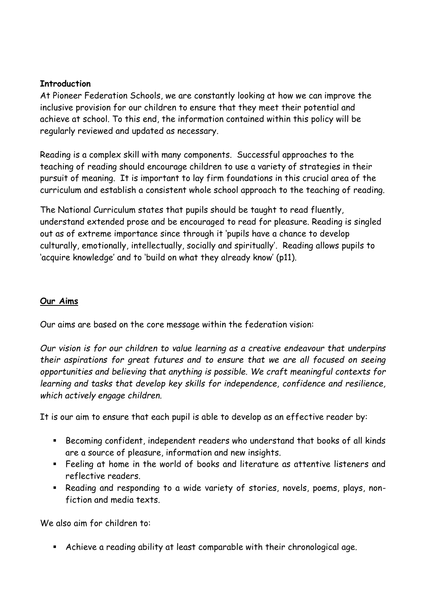#### **Introduction**

At Pioneer Federation Schools, we are constantly looking at how we can improve the inclusive provision for our children to ensure that they meet their potential and achieve at school. To this end, the information contained within this policy will be regularly reviewed and updated as necessary.

Reading is a complex skill with many components. Successful approaches to the teaching of reading should encourage children to use a variety of strategies in their pursuit of meaning. It is important to lay firm foundations in this crucial area of the curriculum and establish a consistent whole school approach to the teaching of reading.

The National Curriculum states that pupils should be taught to read fluently, understand extended prose and be encouraged to read for pleasure. Reading is singled out as of extreme importance since through it 'pupils have a chance to develop culturally, emotionally, intellectually, socially and spiritually'. Reading allows pupils to 'acquire knowledge' and to 'build on what they already know' (p11).

#### **Our Aims**

Our aims are based on the core message within the federation vision:

*Our vision is for our children to value learning as a creative endeavour that underpins their aspirations for great futures and to ensure that we are all focused on seeing opportunities and believing that anything is possible. We craft meaningful contexts for learning and tasks that develop key skills for independence, confidence and resilience, which actively engage children.*

It is our aim to ensure that each pupil is able to develop as an effective reader by:

- Becoming confident, independent readers who understand that books of all kinds are a source of pleasure, information and new insights.
- Feeling at home in the world of books and literature as attentive listeners and reflective readers.
- Reading and responding to a wide variety of stories, novels, poems, plays, nonfiction and media texts.

We also aim for children to:

Achieve a reading ability at least comparable with their chronological age.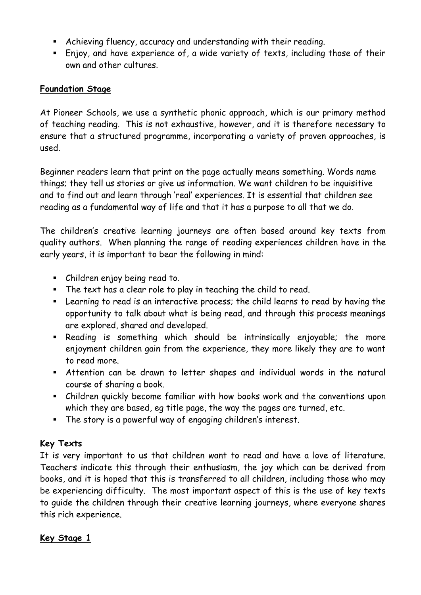- Achieving fluency, accuracy and understanding with their reading.
- Enjoy, and have experience of, a wide variety of texts, including those of their own and other cultures.

#### **Foundation Stage**

At Pioneer Schools, we use a synthetic phonic approach, which is our primary method of teaching reading. This is not exhaustive, however, and it is therefore necessary to ensure that a structured programme, incorporating a variety of proven approaches, is used.

Beginner readers learn that print on the page actually means something. Words name things; they tell us stories or give us information. We want children to be inquisitive and to find out and learn through 'real' experiences. It is essential that children see reading as a fundamental way of life and that it has a purpose to all that we do.

The children's creative learning journeys are often based around key texts from quality authors. When planning the range of reading experiences children have in the early years, it is important to bear the following in mind:

- Children enjoy being read to.
- The text has a clear role to play in teaching the child to read.
- Learning to read is an interactive process; the child learns to read by having the opportunity to talk about what is being read, and through this process meanings are explored, shared and developed.
- Reading is something which should be intrinsically enjoyable; the more enjoyment children gain from the experience, they more likely they are to want to read more.
- Attention can be drawn to letter shapes and individual words in the natural course of sharing a book.
- Children quickly become familiar with how books work and the conventions upon which they are based, eg title page, the way the pages are turned, etc.
- The story is a powerful way of engaging children's interest.

# **Key Texts**

It is very important to us that children want to read and have a love of literature. Teachers indicate this through their enthusiasm, the joy which can be derived from books, and it is hoped that this is transferred to all children, including those who may be experiencing difficulty. The most important aspect of this is the use of key texts to guide the children through their creative learning journeys, where everyone shares this rich experience.

# **Key Stage 1**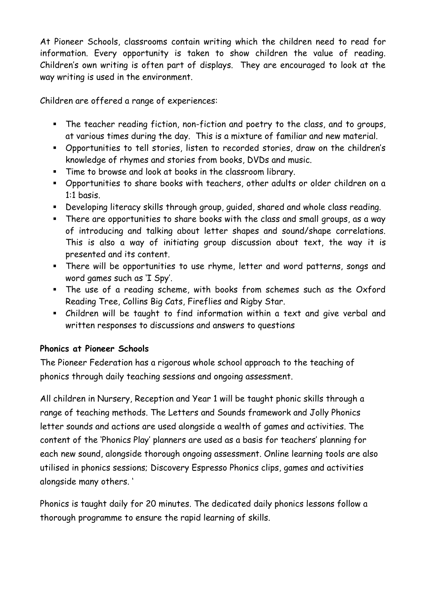At Pioneer Schools, classrooms contain writing which the children need to read for information. Every opportunity is taken to show children the value of reading. Children's own writing is often part of displays. They are encouraged to look at the way writing is used in the environment.

Children are offered a range of experiences:

- The teacher reading fiction, non-fiction and poetry to the class, and to groups, at various times during the day. This is a mixture of familiar and new material.
- Opportunities to tell stories, listen to recorded stories, draw on the children's knowledge of rhymes and stories from books, DVDs and music.
- Time to browse and look at books in the classroom library.
- Opportunities to share books with teachers, other adults or older children on a 1:1 basis.
- Developing literacy skills through group, guided, shared and whole class reading.
- There are opportunities to share books with the class and small groups, as a way of introducing and talking about letter shapes and sound/shape correlations. This is also a way of initiating group discussion about text, the way it is presented and its content.
- There will be opportunities to use rhyme, letter and word patterns, songs and word games such as 'I Spy'.
- The use of a reading scheme, with books from schemes such as the Oxford Reading Tree, Collins Big Cats, Fireflies and Rigby Star.
- Children will be taught to find information within a text and give verbal and written responses to discussions and answers to questions

# **Phonics at Pioneer Schools**

The Pioneer Federation has a rigorous whole school approach to the teaching of phonics through daily teaching sessions and ongoing assessment.

All children in Nursery, Reception and Year 1 will be taught phonic skills through a range of teaching methods. The Letters and Sounds framework and Jolly Phonics letter sounds and actions are used alongside a wealth of games and activities. The content of the 'Phonics Play' planners are used as a basis for teachers' planning for each new sound, alongside thorough ongoing assessment. Online learning tools are also utilised in phonics sessions; Discovery Espresso Phonics clips, games and activities alongside many others. '

Phonics is taught daily for 20 minutes. The dedicated daily phonics lessons follow a thorough programme to ensure the rapid learning of skills.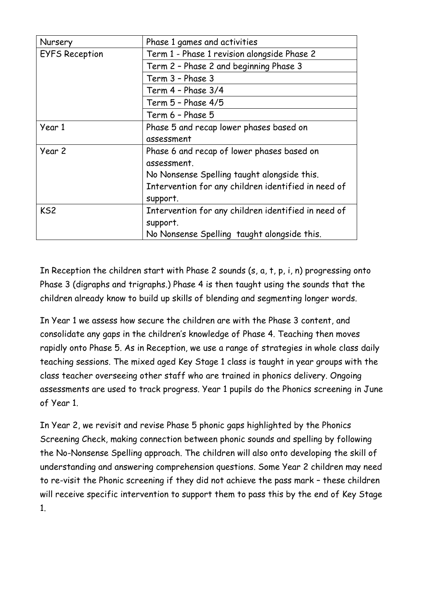| Nursery               | Phase 1 games and activities                        |
|-----------------------|-----------------------------------------------------|
| <b>EYFS Reception</b> | Term 1 - Phase 1 revision alongside Phase 2         |
|                       | Term 2 - Phase 2 and beginning Phase 3              |
|                       | Term 3 - Phase 3                                    |
|                       | Term 4 - Phase 3/4                                  |
|                       | Term 5 - Phase 4/5                                  |
|                       | Term 6 - Phase 5                                    |
| Year 1                | Phase 5 and recap lower phases based on             |
|                       | assessment                                          |
| Year 2                | Phase 6 and recap of lower phases based on          |
|                       | assessment.                                         |
|                       | No Nonsense Spelling taught alongside this.         |
|                       | Intervention for any children identified in need of |
|                       | support.                                            |
| KS <sub>2</sub>       | Intervention for any children identified in need of |
|                       | support.                                            |
|                       | No Nonsense Spelling taught alongside this.         |

In Reception the children start with Phase 2 sounds (s, a, t, p, i, n) progressing onto Phase 3 (digraphs and trigraphs.) Phase 4 is then taught using the sounds that the children already know to build up skills of blending and segmenting longer words.

In Year 1 we assess how secure the children are with the Phase 3 content, and consolidate any gaps in the children's knowledge of Phase 4. Teaching then moves rapidly onto Phase 5. As in Reception, we use a range of strategies in whole class daily teaching sessions. The mixed aged Key Stage 1 class is taught in year groups with the class teacher overseeing other staff who are trained in phonics delivery. Ongoing assessments are used to track progress. Year 1 pupils do the Phonics screening in June of Year 1.

In Year 2, we revisit and revise Phase 5 phonic gaps highlighted by the Phonics Screening Check, making connection between phonic sounds and spelling by following the No-Nonsense Spelling approach. The children will also onto developing the skill of understanding and answering comprehension questions. Some Year 2 children may need to re-visit the Phonic screening if they did not achieve the pass mark – these children will receive specific intervention to support them to pass this by the end of Key Stage 1.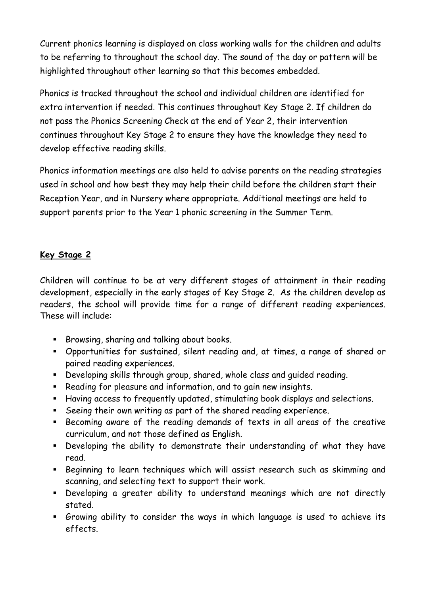Current phonics learning is displayed on class working walls for the children and adults to be referring to throughout the school day. The sound of the day or pattern will be highlighted throughout other learning so that this becomes embedded.

Phonics is tracked throughout the school and individual children are identified for extra intervention if needed. This continues throughout Key Stage 2. If children do not pass the Phonics Screening Check at the end of Year 2, their intervention continues throughout Key Stage 2 to ensure they have the knowledge they need to develop effective reading skills.

Phonics information meetings are also held to advise parents on the reading strategies used in school and how best they may help their child before the children start their Reception Year, and in Nursery where appropriate. Additional meetings are held to support parents prior to the Year 1 phonic screening in the Summer Term.

# **Key Stage 2**

Children will continue to be at very different stages of attainment in their reading development, especially in the early stages of Key Stage 2. As the children develop as readers, the school will provide time for a range of different reading experiences. These will include:

- Browsing, sharing and talking about books.
- Opportunities for sustained, silent reading and, at times, a range of shared or paired reading experiences.
- Developing skills through group, shared, whole class and guided reading.
- Reading for pleasure and information, and to gain new insights.
- Having access to frequently updated, stimulating book displays and selections.
- Seeing their own writing as part of the shared reading experience.
- Becoming aware of the reading demands of texts in all areas of the creative curriculum, and not those defined as English.
- Developing the ability to demonstrate their understanding of what they have read.
- Beginning to learn techniques which will assist research such as skimming and scanning, and selecting text to support their work.
- Developing a greater ability to understand meanings which are not directly stated.
- Growing ability to consider the ways in which language is used to achieve its effects.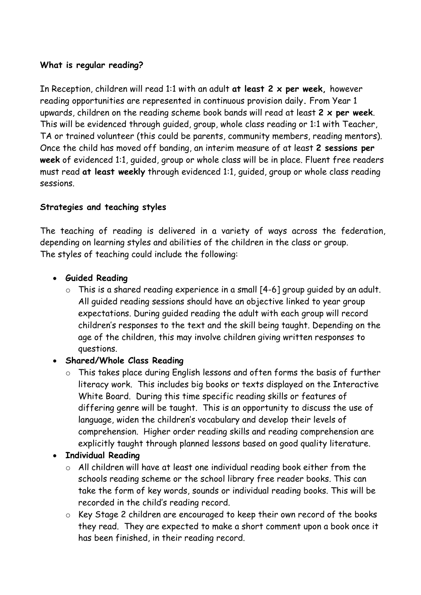#### **What is regular reading?**

In Reception, children will read 1:1 with an adult **at least 2 x per week,** however reading opportunities are represented in continuous provision daily**.** From Year 1 upwards, children on the reading scheme book bands will read at least **2 x per week**. This will be evidenced through guided, group, whole class reading or 1:1 with Teacher, TA or trained volunteer (this could be parents, community members, reading mentors). Once the child has moved off banding, an interim measure of at least **2 sessions per week** of evidenced 1:1, guided, group or whole class will be in place. Fluent free readers must read **at least weekly** through evidenced 1:1, guided, group or whole class reading sessions.

#### **Strategies and teaching styles**

The teaching of reading is delivered in a variety of ways across the federation, depending on learning styles and abilities of the children in the class or group. The styles of teaching could include the following:

#### **Guided Reading**

 $\circ$  This is a shared reading experience in a small [4-6] group quided by an adult. All guided reading sessions should have an objective linked to year group expectations. During guided reading the adult with each group will record children's responses to the text and the skill being taught. Depending on the age of the children, this may involve children giving written responses to questions.

#### **Shared/Whole Class Reading**

- o This takes place during English lessons and often forms the basis of further literacy work. This includes big books or texts displayed on the Interactive White Board. During this time specific reading skills or features of differing genre will be taught. This is an opportunity to discuss the use of language, widen the children's vocabulary and develop their levels of comprehension. Higher order reading skills and reading comprehension are explicitly taught through planned lessons based on good quality literature.
- **Individual Reading** 
	- o All children will have at least one individual reading book either from the schools reading scheme or the school library free reader books. This can take the form of key words, sounds or individual reading books. This will be recorded in the child's reading record.
	- o Key Stage 2 children are encouraged to keep their own record of the books they read. They are expected to make a short comment upon a book once it has been finished, in their reading record.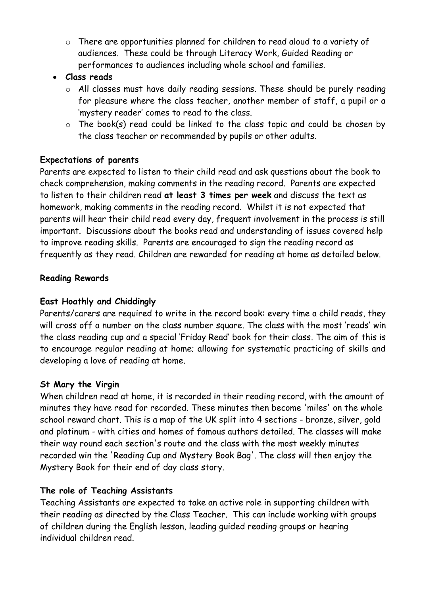o There are opportunities planned for children to read aloud to a variety of audiences. These could be through Literacy Work, Guided Reading or performances to audiences including whole school and families.

#### **Class reads**

- o All classes must have daily reading sessions. These should be purely reading for pleasure where the class teacher, another member of staff, a pupil or a 'mystery reader' comes to read to the class.
- $\circ$  The book(s) read could be linked to the class topic and could be chosen by the class teacher or recommended by pupils or other adults.

# **Expectations of parents**

Parents are expected to listen to their child read and ask questions about the book to check comprehension, making comments in the reading record. Parents are expected to listen to their children read **at least 3 times per week** and discuss the text as homework, making comments in the reading record. Whilst it is not expected that parents will hear their child read every day, frequent involvement in the process is still important. Discussions about the books read and understanding of issues covered help to improve reading skills. Parents are encouraged to sign the reading record as frequently as they read. Children are rewarded for reading at home as detailed below.

# **Reading Rewards**

#### **East Hoathly and Chiddingly**

Parents/carers are required to write in the record book: every time a child reads, they will cross off a number on the class number square. The class with the most 'reads' win the class reading cup and a special 'Friday Read' book for their class. The aim of this is to encourage regular reading at home; allowing for systematic practicing of skills and developing a love of reading at home.

#### **St Mary the Virgin**

When children read at home, it is recorded in their reading record, with the amount of minutes they have read for recorded. These minutes then become 'miles' on the whole school reward chart. This is a map of the UK split into 4 sections - bronze, silver, gold and platinum - with cities and homes of famous authors detailed. The classes will make their way round each section's route and the class with the most weekly minutes recorded win the 'Reading Cup and Mystery Book Bag'. The class will then enjoy the Mystery Book for their end of day class story.

# **The role of Teaching Assistants**

Teaching Assistants are expected to take an active role in supporting children with their reading as directed by the Class Teacher. This can include working with groups of children during the English lesson, leading guided reading groups or hearing individual children read.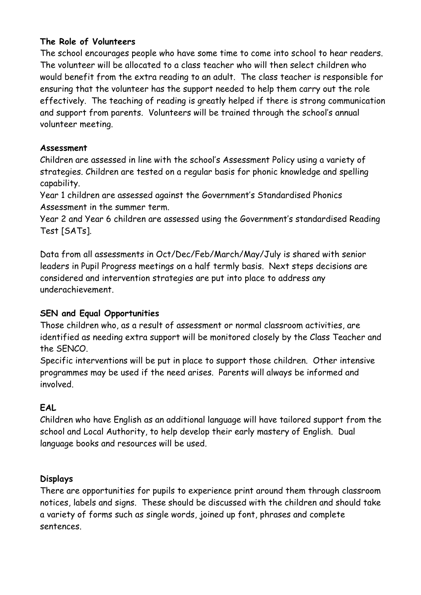#### **The Role of Volunteers**

The school encourages people who have some time to come into school to hear readers. The volunteer will be allocated to a class teacher who will then select children who would benefit from the extra reading to an adult. The class teacher is responsible for ensuring that the volunteer has the support needed to help them carry out the role effectively. The teaching of reading is greatly helped if there is strong communication and support from parents. Volunteers will be trained through the school's annual volunteer meeting.

#### **Assessment**

Children are assessed in line with the school's Assessment Policy using a variety of strategies. Children are tested on a regular basis for phonic knowledge and spelling capability.

Year 1 children are assessed against the Government's Standardised Phonics Assessment in the summer term.

Year 2 and Year 6 children are assessed using the Government's standardised Reading Test [SATs].

Data from all assessments in Oct/Dec/Feb/March/May/July is shared with senior leaders in Pupil Progress meetings on a half termly basis. Next steps decisions are considered and intervention strategies are put into place to address any underachievement.

# **SEN and Equal Opportunities**

Those children who, as a result of assessment or normal classroom activities, are identified as needing extra support will be monitored closely by the Class Teacher and the SENCO.

Specific interventions will be put in place to support those children. Other intensive programmes may be used if the need arises. Parents will always be informed and involved.

# **EAL**

Children who have English as an additional language will have tailored support from the school and Local Authority, to help develop their early mastery of English. Dual language books and resources will be used.

# **Displays**

There are opportunities for pupils to experience print around them through classroom notices, labels and signs. These should be discussed with the children and should take a variety of forms such as single words, joined up font, phrases and complete sentences.